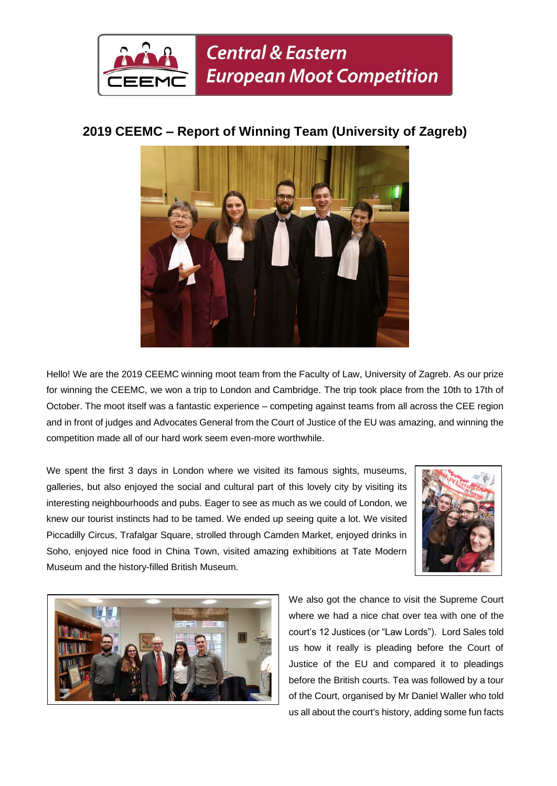

## **2019 CEEMC – Report of Winning Team (University of Zagreb)**



Hello! We are the 2019 CEEMC winning moot team from the Faculty of Law, University of Zagreb. As our prize for winning the CEEMC, we won a trip to London and Cambridge. The trip took place from the 10th to 17th of October. The moot itself was a fantastic experience – competing against teams from all across the CEE region and in front of judges and Advocates General from the Court of Justice of the EU was amazing, and winning the competition made all of our hard work seem even-more worthwhile.

We spent the first 3 days in London where we visited its famous sights, museums, galleries, but also enjoyed the social and cultural part of this lovely city by visiting its interesting neighbourhoods and pubs. Eager to see as much as we could of London, we knew our tourist instincts had to be tamed. We ended up seeing quite a lot. We visited Piccadilly Circus, Trafalgar Square, strolled through Camden Market, enjoyed drinks in Soho, enjoyed nice food in China Town, visited amazing exhibitions at Tate Modern Museum and the history-filled British Museum.





We also got the chance to visit the Supreme Court where we had a nice chat over tea with one of the court's 12 Justices (or "Law Lords"). Lord Sales told us how it really is pleading before the Court of Justice of the EU and compared it to pleadings before the British courts. Tea was followed by a tour of the Court, organised by Mr Daniel Waller who told us all about the court's history, adding some fun facts